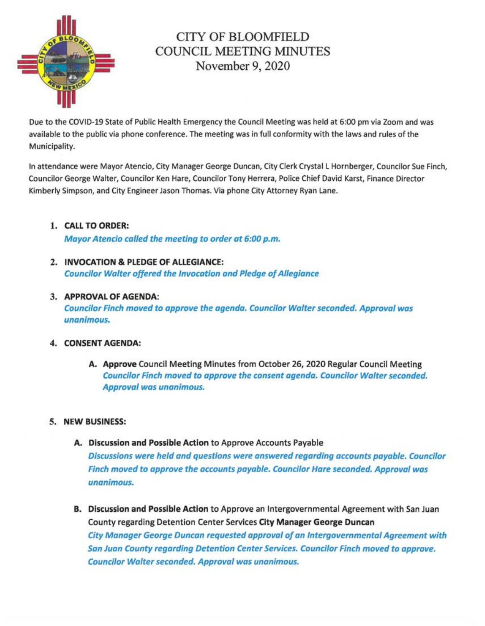

## CITY OF BLOOMFIELD COUNCIL MEETING MINUTES November 9, 2020

Due to the COVID-19 State of Public Health Emergency the Council Meeting was held at 6:00 pm via Zoom and was available to the public via phone conference. The meeting was in full conformity with the laws and rules of the Municipality.

In attendance were Mayor Atencio, City Manager George Duncan, City Clerk Crystal L Hornberger, Councilor Sue Finch, Councilor George Walter, Councilor Ken Hare, Councilor Tony Herrera, Police Chief David Karst, Finance Director Kimberly Simpson, and City Engineer Jason Thomas. Via phone City Attorney Ryan Lane.

1. CALL TO ORDER:

Mayor Atencio called the meeting to order at 6:00 p.m.

- 2. INVOCATION & PLEDGE OF ALLEGIANCE: Councilor Walter offered the Invocation and Pledge of Allegiance
- 3. APPROVAL OF AGENDA:

Councilor Finch moved to approve the agenda. Councilor Walter seconded. Approval was unanimous.

- 4. CONSENT AGENDA:
	- A. Approve Council Meeting Minutes from October 26, 2020 Regular Council Meeting Councilor Finch moved to approve the consent agenda. Councilor Walter seconded. Approval was unanimous.
- 5. NEW BUSINESS:
	- A. Discussion and Possible Action to Approve Accounts Payable Discussions were held and questions were answered regarding accounts payable. Councilor Finch moved to approve the accounts payable. Councilor Hare seconded. Approval was unanimous.
	- B. Discussion and Possible Action to Approve an Intergovernmental Agreement with San Juan County regarding Detention Center Services City Manager George Duncan City Manager George Duncan requested approval of an Intergovernmental Agreement with San Juan County regarding Detention Center Services. Councilor Finch moved to approve. Councilor Walter seconded. Approval was unanimous.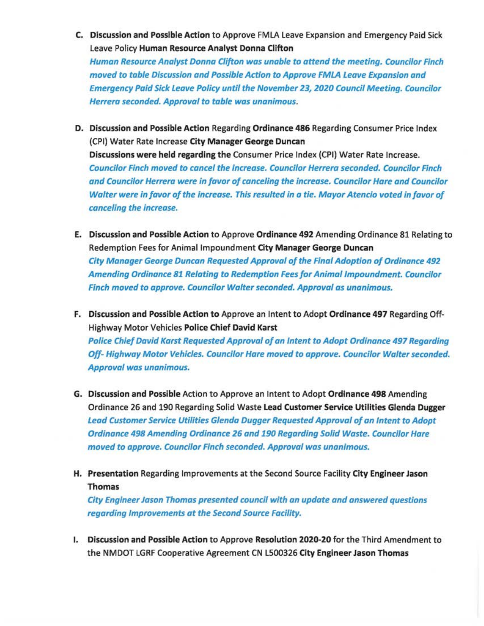C. Discussion and Possible Action to Approve FMLA Leave Expansion and Emergency Paid Sick Leave Policy Human Resource Analyst Donna Clifton

Human Resource Analyst Donna Clifton was unable to attend the meeting. Councilor Finch moved to table Discussion and Possible Action to Approve FMLA Leave Expansion and Emergency Paid Sick Leave Policy until the November 23, 2020 Council Meeting. Councilor Herrera seconded. Approval to table was unanimous.

- D. Discussion and Possible Action Regarding Ordinance 486 Regarding Consumer Price Index (CPI) Water Rate Increase City Manager George Duncan Discussions were held regarding the Consumer Price Index (CPI) Water Rate Increase. Councilor Finch moved to cancel the increase. Councilor Herrera seconded. Councilor Finch and Councilor Herrera were in favor of canceling the increase. Councilor Hare and Councilor Walter were in favor of the increase. This resulted in a tie. Mayor Atencio voted in favor of canceling the increase.
- E. Discussion and Possible Action to Approve Ordinance 492 Amending Ordinance 81 Relating to Redemption Fees for Animal lmpoundment City Manager George Duncan City Manager George Duncan Requested Approval of the Final Adoption of Ordinance 492 Amending Ordinance 81 Relating to Redemption Fees for Animal lmpoundment. Councilor Finch moved to approve. Councilor Walter seconded. Approval as unanimous.
- F. Discussion and Possible Action to Approve an Intent to Adopt Ordinance 497 Regarding Off-Highway Motor Vehicles Police Chief David Karst Police Chief David Karst Requested Approval of an Intent to Adopt Ordinance 497 Regarding Off- Highway Motor Vehicles. Councilor Hare moved to approve. Councilor Walter seconded. Approval was unanimous.
- G. Discussion and Possible Action to Approve an Intent to Adopt Ordinance 498 Amending Ordinance 26 and 190 Regarding Solid Waste Lead Customer Service Utilities Glenda Dugger Lead Customer Service Utilities Glenda Dugger Requested Approval of an Intent to Adopt Ordinance 498 Amending Ordinance 26 and 190 Regarding Solid Waste. Councilor Hare moved to approve. Councilor Finch seconded. Approval was unanimous.
- H. Presentation Regarding Improvements at the Second Source Facility City Engineer Jason Thomas

City Engineer Jason Thomas presented council with an update and answered questions regarding Improvements at the Second Source Facility.

I. Discussion and Possible Action to Approve Resolution 2020-20 for the Third Amendment to the NMDOT LGRF Cooperative Agreement CN L500326 City Engineer Jason Thomas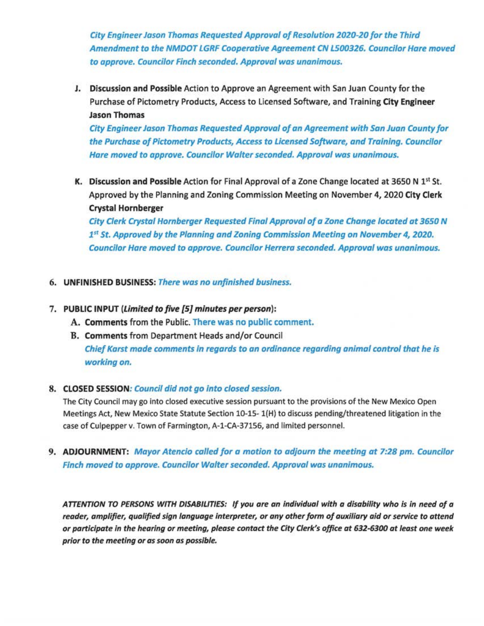City Engineer Jason Thomas Requested Approval of Resolution 2020-20 for the Third Amendment to the NMDOT LGRF Cooperative Agreement CN L500326. Councilor Hare moved to approve. Councilor Finch seconded. Approval was unanimous.

J. Discussion and Possible Action to Approve an Agreement with San Juan County for the Purchase of Pictometry Products, Access to Licensed Software, and Training City Engineer Jason Thomas

City Engineer Jason Thomas Requested Approval of an Agreement with San Juan County for the Purchase of Pictometry Products, Access to Licensed Software, and Training. Councilor Hare moved to approve. Councilor Walter seconded. Approval was unanimous.

K. Discussion and Possible Action for Final Approval of a Zone Change located at 3650 N  $1^{st}$  St. Approved by the Planning and Zoning Commission Meeting on November 4, 2020 City Clerk Crystal Hornberger

City Clerk Crystal Hornberger Requested Final Approval of a Zone Change located at 3650 N 1st St. Approved by the Planning and Zoning Commission Meeting on November 4, 2020. Councilor Hare moved to approve. Councilor Herrera seconded. Approval was unanimous.

6. UNFINISHED BUSINESS: There was no unfinished business.

## 7. PUBLIC INPUT (Limited to five [5] minutes per person):

- A. Comments from the Public. There was no public comment.
- B. Comments from Department Heads and/or Council Chief Karst made comments in regards to an ordinance regarding animal control that he is working on.

## 8. CLOSED SESSION: Council did not go into closed session.

The City Council may go into closed executive session pursuant to the provisions of the New Mexico Open Meetings Act, New Mexico State Statute Section 10-15- 1(H) to discuss pending/threatened litigation in the case of Culpepper v. Town of Farmington, A-1-CA-37156, and limited personnel.

9. ADJOURNMENT: Mayor Atencio called for a motion to adjourn the meeting at 7:28 pm. Councilor Finch moved to approve. Councilor Walter seconded. Approval was unanimous.

ATTENTION TO PERSONS WITH DISABILITIES: If you are an individual with a disability who is in need of a reader, amplifier, qualified sign language interpreter, or any other form of auxiliary aid or service to attend or participate in the hearing or meeting, please contact the City Clerk's office at 632-6300 at least one week prior to the meeting or as soon as possible.